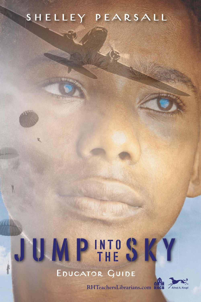# shelley pearsall

# JUMP THE SKY INTO THE Educator Guide

**RHTeachersLibrarians.com**

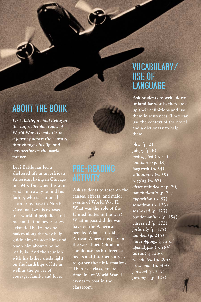# ABOUT THE BOOK

*Levi Battle, a child living in the unpredictable times of World War II, embarks on a journey across the country that changes his life and perspective on the world forever.* 

**Levi Battle has led a sheltered life as an African American living in Chicago in 1945. But when his aunt**  sends him away to find his **father, who is stationed at an army base in North Carolina, Levi is exposed to a world of prejudice and racism that he never knew existed. The friends he makes along the way help guide him, protect him, and teach him about who he really is. And the reunion with his father sheds light on the hardships of life as well as the power of courage, family, and love.** 

**Ask students to research the causes, effects, and major events of World War II. What was the role of the United States in the war? What impact did the war have on the American people? What part did African Americans play in the war efforts? Students should use both reference books and Internet sources to gather their information. Then as a class, create a time line of World War II events to post in the classroom.** 

### VOCABULARY/ USE OF **LANGUAGE**

**Ask students to write down unfamiliar words, then look**  up their definitions and use **them in sentences. They can use the context of the novel and a dictionary to help them.** 

*blitz* **(p. 2)**  *jalopy* **(p. 8)**  *bedraggled* **(p. 31)**  *kamikaze* **(p. 48)**  *hogwash* **(p. 54)**  *silhouettes* **(p. 59)**  *razzing* **(p. 67)**  *absentmindedly* **(p. 70)**  *nonchalantly* **(p. 74)**  *apparition* **(p. 87)**  *squadron* **(p. 123)**  *sashayed* **(p. 127)**  *pandemonium* **(p. 154)**  *careened* **(p. 172)**  *forlornly* **(p. 177)**  *ambled* **(p. 215)**  *outcroppings* **(p. 253)**  *apocalypse* **(p. 284)**  *torrent* **(p. 286)**  *ricocheted* **(p. 295)**  *crescendo* **(p. 308)**  *gawked* **(p. 317)**  *furlough* **(p. 325)**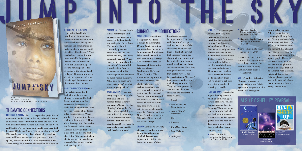

PATRIOTISM—**Charles Battle led his paratrooper unit on dangerous missions to search for balloon bombs and extinguish forest fires. The men in his unit constantly questioned these missions and their role in the war, but "Boots" remained steadfast. What does this tell you about his patriotism? Do you think it was hard for Boots to remain devoted to his country given the prejudice he faced within the army? What does he teach Levi about patriotism? In what ways are you patriotic?**

ABANDONMENT—**There are many people in Levi's life that have left him—his mother, father, Granny, and Aunt Odella. How has "leaving" affected Levi's belief in love and ability to trust others? In what ways is Levi determined not to continue that pattern of abandonment? How does he eventually prove that the cycle has been broken?** 

GEOGRAPHY—**Levi endures a long train ride from Chicago, to Washington, D.C. to North Carolina, and marvels at the scenery he sees outside his window. What exactly would Levi have seen on his journey? Ask students to map the landscape of the country between Chicago, Washington, D.C., and North Carolina. They should work in groups to sculpt relief maps that identify physical features, such as mountains and rivers, as well as large cities that he may have passed. Students can then research the railroad system and add tracks where Levi's train may have traveled. This activity can also be used to study Levi's train ride from North Carolina, across the Mississippi River, and all the way to Oregon.**

DRAMA—**Levi meets a variety of strangers on his journey to find his father, some of which become very important in his life. We learn about each of them** 

**from Levi's perspective, but what would they have said about him? Assign each student to one of the characters below and ask them to think about what that character would say about their encounters with Levi. Would they think he was shy and naive or brave and adventurous? Have they thought about him since they parted ways? Then have each student "become" that character and present their thoughts to the class. They can even present in costume to make their character and presentation more realistic. • Margie**

- **Man in the Jim Crow train car**
- **• Amos "Show" Broadway**
- **Peaches**
- 

**• Cal**

- **MawMaw Sands**
- **Mrs. Delaney**
- **WillaJean**

SCIENCE—**The paratroopers believed that they were stationed in Oregon to watch for and protect the country from Japanese balloon bombs. However, they never actually saw one of these balloons. What did they look like and how did they work? As a class, research these balloons and discuss their design, function, and efficiency. Then have each student create their own balloon model and allow them to test its ability to get from one point to another by releasing it outside.**

PREJUDICE & RACISM-Levi was exposed to prejudice and **racism for the first time on his trip to North Carolina, and he was shocked by what he heard and saw. How was life different for African Americans in the North and South? Do you think Levi should have been told by Aunt Odella and Uncle Otis about what to expect? Discuss the statement, "But who woulda imagined you could become an enemy in your own country." (p. 86) How do you think Levi's experiences in the South changed his opinion of himself and his country?**

LANGUAGE ARTS—**Foreshadowing is a literary device in which an author suggests certain plot developments that might come later in the story. There are many sentences in the book that foreshadow future events. Ask students to find specific quotes from the book and determine which events they foreshadow. Some examples are:**

**• MawMaw Sands believing in things you can't see (p. 125)**

- **MawMaw Sands discussion of sweetness and pain (p. 172)**
- **MawMaw Sands—being the keeper of secrets (p. 186)**
- **Levi—climbing to reach the moon (p. 204)**

**Students can turn these examples into a game show, by reading a quote to the class and then quizzing them on which event it foreshadowed.** 

ART—**When Levi is leaving Chicago, he knows he won't see his Aunt Odella again for a long time. As he watchs her through the** 

**train window, he says, "She'd turned into a photograph, like my daddy and Granny and everybody else I knew had done." (p. 46) Ask students to think of a moment that changed their life forever, then have them turn that moment into a photograph. They can use props, draw pictures, or even use old photos to compile an image that can be captured with a camera. Print and display the finished photographs and ask students to talk about that moment and how it changed their lives.** 

# ALSO BY SHELLEY PEARS

**Grades 5 up** L **HC: 978-0-375-83699-2 GLB: 978-0-375-93699-9 • EL: 978-0-375-89548-7** 

**JUMP INTO SI** 

### HISTORICAL FICTION: WWII—

**Life during World War II was difficult in many ways. Sacrifices were made not only by enlisted men, but by their families and communities as well. In what ways was Levi's life affected by the war? What methods of communication were available for people to receive news of war events? How did Levi and the people around him respond to the dropping of the atomic bomb in Japan? Discuss the surrender of the Japanese and how life changed for Americans in the aftermath of the war.** 

FAMILY & RELATIONSHIPS—**The only relationship that Levi had with his father was through letters, and he had been convinced that the stories his father told were embellished. What were Levi's first impressions of his father after being reunited? What did Levi learn about his father and his role in the war? How did this compare to the stories his father told in his letters? Discuss the events that took place at the end of the book that led to "the moment when the two of us—my daddy and me—felt like we were father and son." (p. 335)** 

### Thematic Connections

## Curriculum Connections

*Crooked River* **978-0-440-42101-**



*All Shook Up* **978-0-440-42139-9**



*Trouble Don't Last* **978-0-440-41811-5**



Crooked River Shelley Pearsal